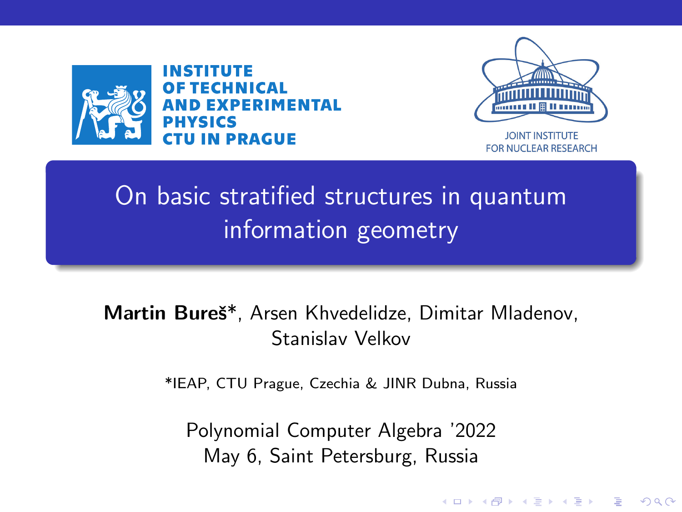<span id="page-0-0"></span>

INSTITUTE **OF TECHNICAL AND EXPERIMENTAL PHYSICS CTU IN PRAGUE** 



**JOINT INSTITUTE** FOR NUCLEAR RESEARCH

**KORK EXTERNE PROVIDE** 

# On basic stratified structures in quantum information geometry

#### Martin Bureš\*, Arsen Khvedelidze, Dimitar Mladenov, Stanislav Velkov

\*IEAP, CTU Prague, Czechia & JINR Dubna, Russia

Polynomial Computer Algebra '2022 May 6, Saint Petersburg, Russia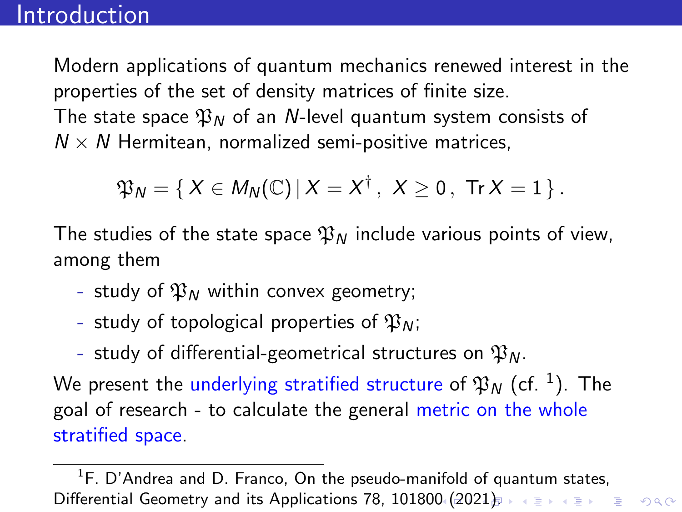<span id="page-1-0"></span>Modern applications of quantum mechanics renewed interest in the properties of the set of density matrices of finite size. The state space  $\mathfrak{P}_N$  of an N-level quantum system consists of  $N \times N$  Hermitean, normalized semi-positive matrices,

$$
\mathfrak{P}_N=\{\, X\in M_N(\mathbb{C})\,|\, X=X^\dagger\,,\,\, X\geq 0\,,\,\,\text{Tr}\,X=1\,\}\,.
$$

The studies of the state space  $\mathfrak{P}_N$  include various points of view, among them

- study of  $\mathfrak{P}_N$  within convex geometry;
- study of topological properties of  $\mathfrak{P}_N$ ;
- study of differential-geometrical structures on  $\mathfrak{P}_N$ .

We present the underlying stratified structure of  $\mathfrak{P}_N$  (cf.  $^1$ ). The goal of research - to calculate the general metric on the whole stratified space.

 ${}^{1}$ F. D'Andrea and D. Franco, On the pseudo-manifold of quantum states, Differential Geometry and its Applications 78, 101800. ([202](#page-2-0)[1](#page-0-0)[\).](#page-1-0) A SAME AS A SURVEY OR A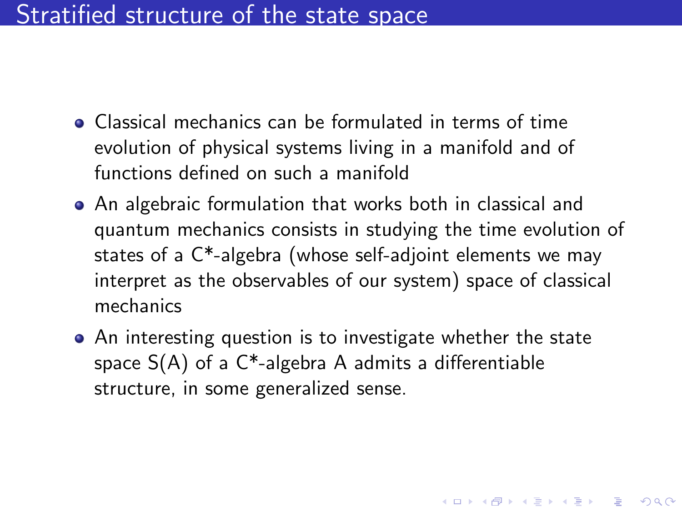# <span id="page-2-0"></span>Stratified structure of the state space

- Classical mechanics can be formulated in terms of time evolution of physical systems living in a manifold and of functions defined on such a manifold
- An algebraic formulation that works both in classical and quantum mechanics consists in studying the time evolution of states of a C\*-algebra (whose self-adjoint elements we may interpret as the observables of our system) space of classical mechanics
- An interesting question is to investigate whether the state space  $S(A)$  of a  $C^*$ -algebra A admits a differentiable structure, in some generalized sense.

4 0 > 4 4 + 4 = + 4 = + = + + 0 4 0 +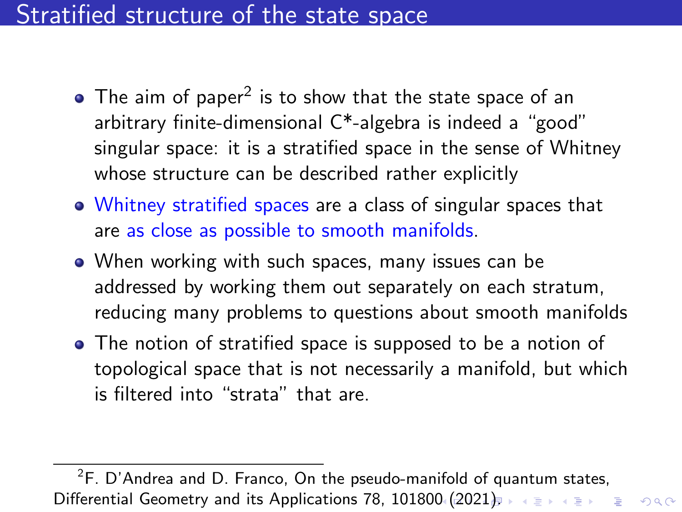# <span id="page-3-0"></span>Stratified structure of the state space

- The aim of paper $^2$  is to show that the state space of an arbitrary finite-dimensional C\*-algebra is indeed a "good" singular space: it is a stratified space in the sense of Whitney whose structure can be described rather explicitly
- Whitney stratified spaces are a class of singular spaces that are as close as possible to smooth manifolds.
- When working with such spaces, many issues can be addressed by working them out separately on each stratum, reducing many problems to questions about smooth manifolds
- The notion of stratified space is supposed to be a notion of topological space that is not necessarily a manifold, but which is filtered into "strata" that are.

 ${}^{2}$ F. D'Andrea and D. Franco, On the pseudo-manifold of quantum states, Differential Geometry and its Applications 78, 101800. ([202](#page-4-0)[1](#page-2-0)[\).](#page-3-0) A SAME AS A SURVEY OR A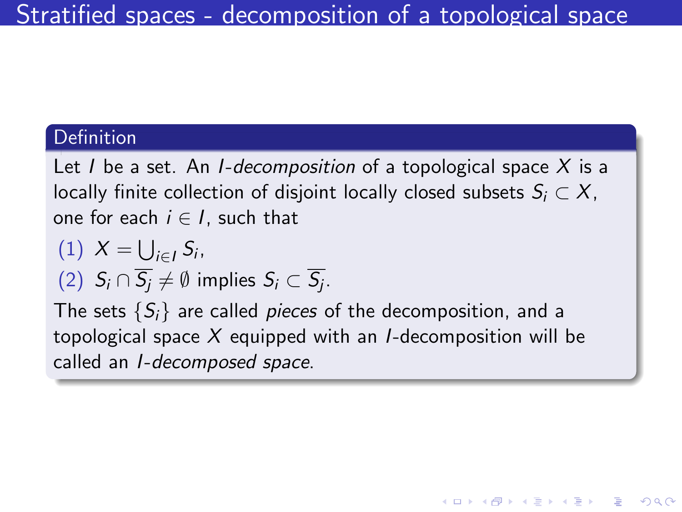#### <span id="page-4-0"></span>Definition

Let I be a set. An I-decomposition of a topological space  $X$  is a locally finite collection of disjoint locally closed subsets  $S_i \subset X$ , one for each  $i \in I$ , such that

$$
(1) X = \bigcup_{i \in I} S_i,
$$

(2) 
$$
S_i \cap \overline{S_j} \neq \emptyset
$$
 implies  $S_i \subset \overline{S_j}$ .

The sets  $\{S_i\}$  are called *pieces* of the decomposition, and a topological space  $X$  equipped with an *I*-decomposition will be called an I-decomposed space.

**KORKARYKERKER POLO**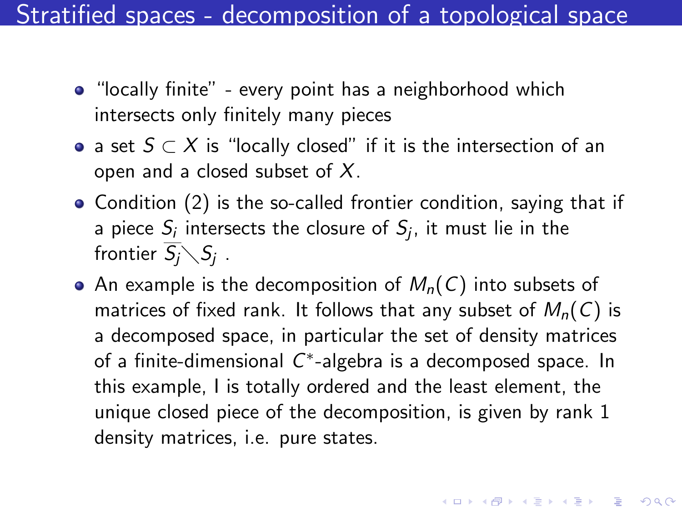Stratified spaces - decomposition of a topological space

- "locally finite" every point has a neighborhood which intersects only finitely many pieces
- $\bullet$  a set  $S \subset X$  is "locally closed" if it is the intersection of an open and a closed subset of  $X$ .
- Condition (2) is the so-called frontier condition, saying that if a piece  $S_i$  intersects the closure of  $S_j$ , it must lie in the frontier  $\overline{S_j}\diagdown S_j$  .
- An example is the decomposition of  $M_n(C)$  into subsets of matrices of fixed rank. It follows that any subset of  $M_n(C)$  is a decomposed space, in particular the set of density matrices of a finite-dimensional  $C^*$ -algebra is a decomposed space. In this example, I is totally ordered and the least element, the unique closed piece of the decomposition, is given by rank 1 density matrices, i.e. pure states.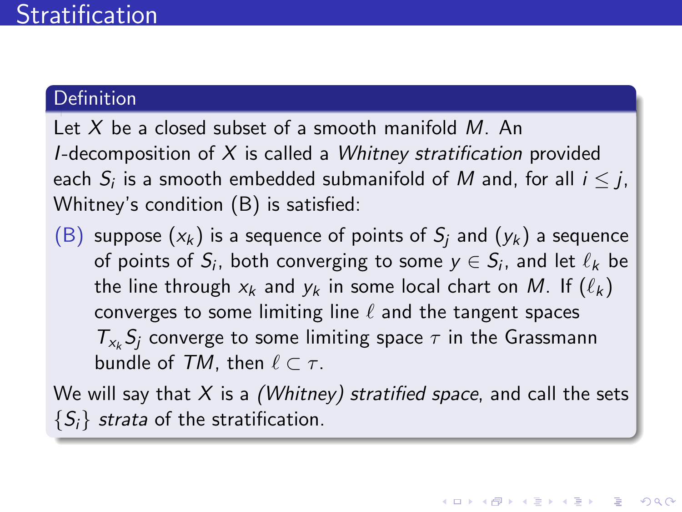#### <span id="page-6-0"></span>Definition

Let X be a closed subset of a smooth manifold  $M$ . An I-decomposition of  $X$  is called a *Whitney stratification* provided each  $S_i$  is a smooth embedded submanifold of  $M$  and, for all  $i\leq j,$ Whitney's condition (B) is satisfied:

(B) suppose  $(x_k)$  is a sequence of points of  $S_i$  and  $(y_k)$  a sequence of points of  $S_i$ , both converging to some  $y\in S_i$ , and let  $\ell_k$  be the line through  $x_k$  and  $y_k$  in some local chart on M. If  $(\ell_k)$ converges to some limiting line  $\ell$  and the tangent spaces  $T_{x_k}S_j$  converge to some limiting space  $\tau$  in the Grassmann bundle of TM, then  $\ell \subset \tau$ .

We will say that  $X$  is a (Whitney) stratified space, and call the sets  $\{S_i\}$  strata of the stratification.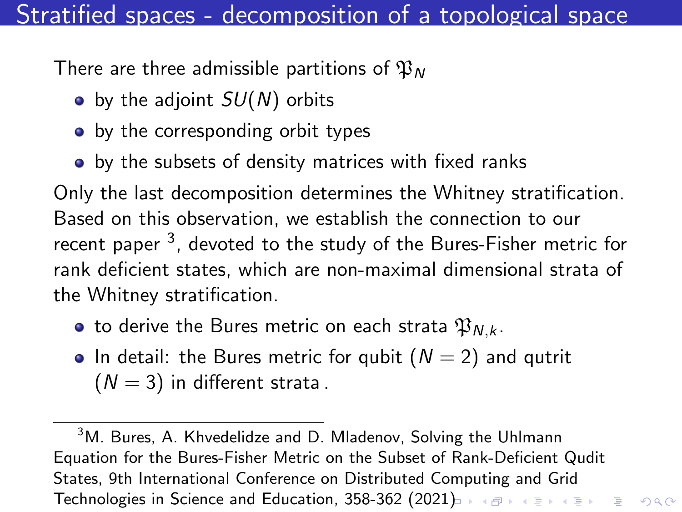# Stratified spaces - decomposition of a topological space

There are three admissible partitions of  $\mathfrak{P}_N$ 

- $\bullet$  by the adjoint  $SU(N)$  orbits
- by the corresponding orbit types
- by the subsets of density matrices with fixed ranks

Only the last decomposition determines the Whitney stratification. Based on this observation, we establish the connection to our recent paper <sup>3</sup>, devoted to the study of the Bures-Fisher metric for rank deficient states, which are non-maximal dimensional strata of the Whitney stratification.

- to derive the Bures metric on each strata  $\mathfrak{P}_{N,k}$ .
- In detail: the Bures metric for qubit  $(N = 2)$  and qutrit  $(N = 3)$  in different strata.

<sup>3</sup>M. Bures, A. Khvedelidze and D. Mladenov, Solving the Uhlmann Equation for the Bures-Fisher Metric on the Subset of Rank-Deficient Qudit States, 9th International Conference on Distributed Computing and Grid Technologies in Science and Education, 358-362 (20[21\)](#page-6-0) **December 2021**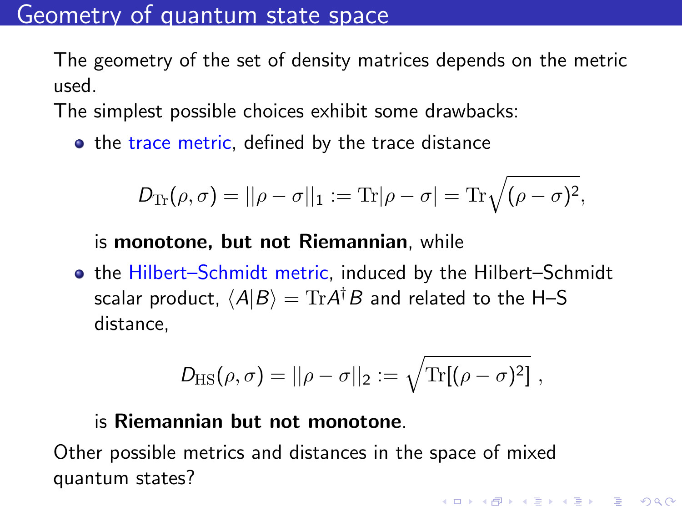### Geometry of quantum state space

The geometry of the set of density matrices depends on the metric used.

The simplest possible choices exhibit some drawbacks:

• the trace metric, defined by the trace distance

$$
D_{\text{Tr}}(\rho,\sigma)=||\rho-\sigma||_1:=\text{Tr}|\rho-\sigma|=\text{Tr}\sqrt{(\rho-\sigma)^2},
$$

#### is monotone, but not Riemannian, while

**• the Hilbert–Schmidt metric, induced by the Hilbert–Schmidt** scalar product,  $\langle A | B \rangle = {\rm Tr} A^\dagger B$  and related to the H–S distance,

$$
D_{\rm HS}(\rho,\sigma)=||\rho-\sigma||_2:=\sqrt{\text{Tr}[(\rho-\sigma)^2]},
$$

4 0 > 4 4 + 4 = + 4 = + = + + 0 4 0 +

#### is Riemannian but not monotone.

Other possible metrics and distances in the space of mixed quantum states?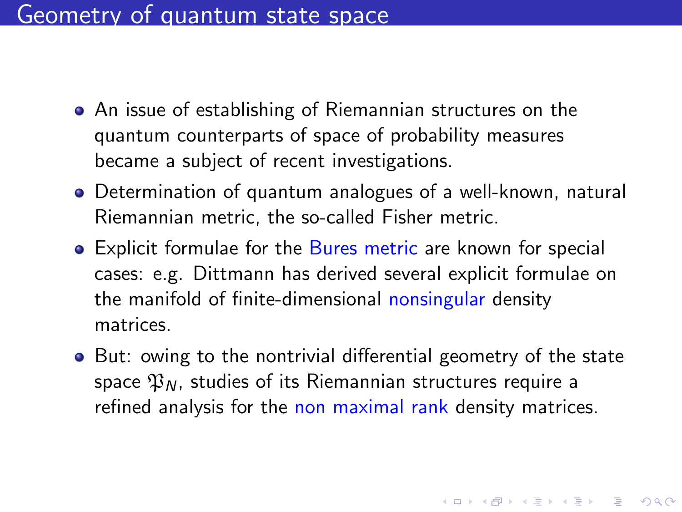- An issue of establishing of Riemannian structures on the quantum counterparts of space of probability measures became a subject of recent investigations.
- Determination of quantum analogues of a well-known, natural Riemannian metric, the so-called Fisher metric.
- **•** Explicit formulae for the Bures metric are known for special cases: e.g. Dittmann has derived several explicit formulae on the manifold of finite-dimensional nonsingular density matrices.
- But: owing to the nontrivial differential geometry of the state space  $\mathfrak{P}_N$ , studies of its Riemannian structures require a refined analysis for the non maximal rank density matrices.

4 0 > 4 4 + 4 = + 4 = + = + + 0 4 0 +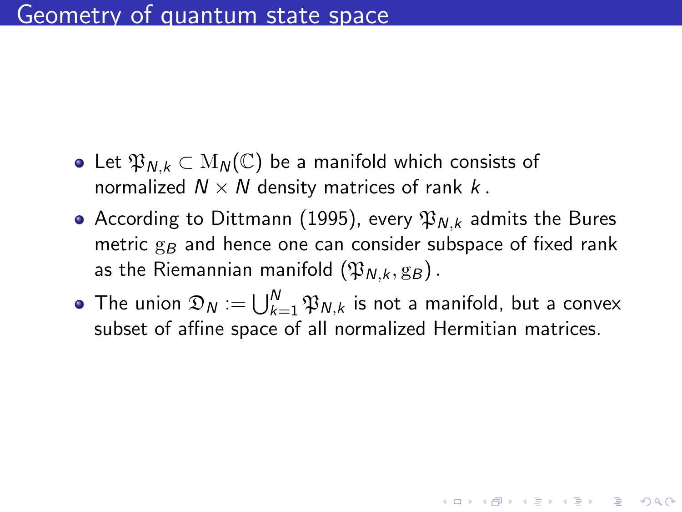- Let  $\mathfrak{P}_{N,k} \subset M_N(\mathbb{C})$  be a manifold which consists of normalized  $N \times N$  density matrices of rank k.
- According to Dittmann (1995), every  $\mathfrak{P}_{N,k}$  admits the Bures metric  $g_B$  and hence one can consider subspace of fixed rank as the Riemannian manifold  $(\mathfrak{P}_{N,k}, g_B)$ .
- The union  $\mathfrak{D}_N := \bigcup_{k=1}^N \mathfrak{P}_{N,k}$  is not a manifold, but a convex subset of affine space of all normalized Hermitian matrices.

**KORKAR KERKER SAGA**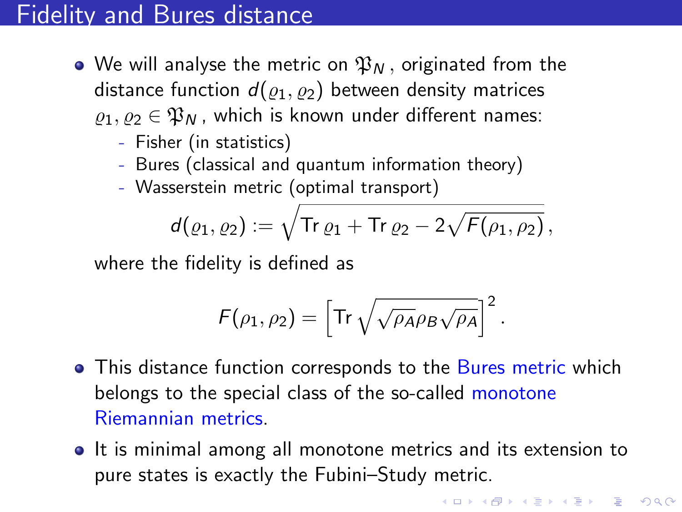# Fidelity and Bures distance

- We will analyse the metric on  $\mathfrak{P}_N$ , originated from the distance function  $d(\rho_1, \rho_2)$  between density matrices  $\rho_1, \rho_2 \in \mathfrak{P}_N$ , which is known under different names:
	- Fisher (in statistics)
	- Bures (classical and quantum information theory)
	- Wasserstein metric (optimal transport)

$$
d(\varrho_1,\varrho_2):=\sqrt{\text{Tr}\,\varrho_1+\text{Tr}\,\varrho_2-2\sqrt{F(\rho_1,\rho_2)}},
$$

where the fidelity is defined as

$$
F(\rho_1, \rho_2) = \left[ \text{Tr} \sqrt{\sqrt{\rho_A} \rho_B \sqrt{\rho_A}} \right]^2.
$$

- This distance function corresponds to the Bures metric which belongs to the special class of the so-called monotone Riemannian metrics.
- It is minimal among all monotone metrics and its extension to pure states is exactly the Fubini–Study metric.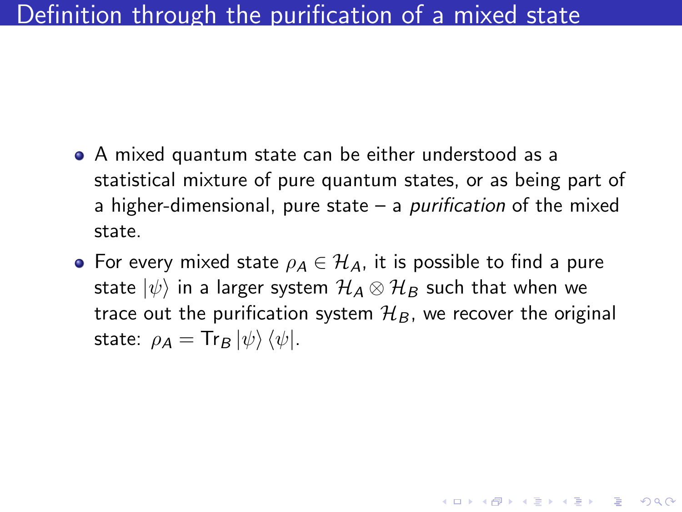- A mixed quantum state can be either understood as a statistical mixture of pure quantum states, or as being part of a higher-dimensional, pure state  $-$  a *purification* of the mixed state.
- For every mixed state  $\rho_A \in \mathcal{H}_A$ , it is possible to find a pure state  $|\psi\rangle$  in a larger system  $\mathcal{H}_{A}\otimes\mathcal{H}_{B}$  such that when we trace out the purification system  $\mathcal{H}_B$ , we recover the original state:  $\rho_A = \text{Tr}_B |\psi\rangle \langle \psi|$ .

**KORKAR KERKER SAGA**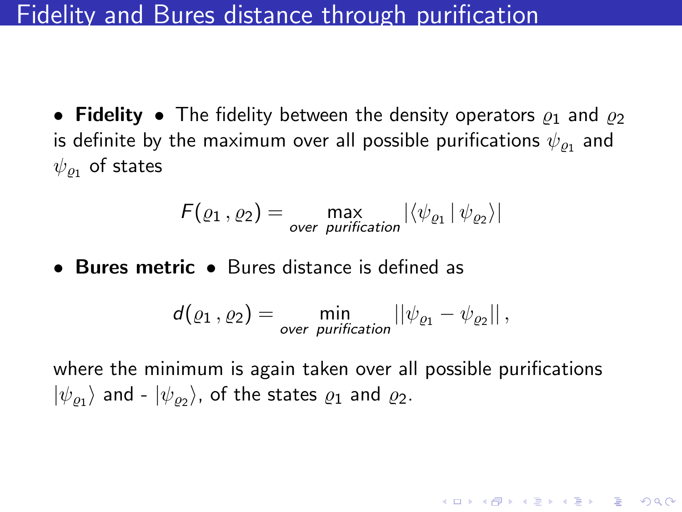### <span id="page-13-0"></span>Fidelity and Bures distance through purification

• Fidelity • The fidelity between the density operators  $\rho_1$  and  $\rho_2$ is definite by the maximum over all possible purifications  $\psi_{\varrho_1}$  and  $\psi_{\varrho_1}$  of states

$$
F(\varrho_1, \varrho_2) = \max_{\text{over purification}} |\langle \psi_{\varrho_1} | \psi_{\varrho_2} \rangle|
$$

• Bures metric • Bures distance is defined as

$$
d(\varrho_1, \varrho_2) = \min_{\text{over purification}} ||\psi_{\varrho_1} - \psi_{\varrho_2}||,
$$

where the minimum is again taken over all possible purifications  $|\psi_{\varrho_1}\rangle$  and -  $|\psi_{\varrho_2}\rangle$ , of the states  $\varrho_1$  and  $\varrho_2$ .

KELK KØLK VELKEN EL 1990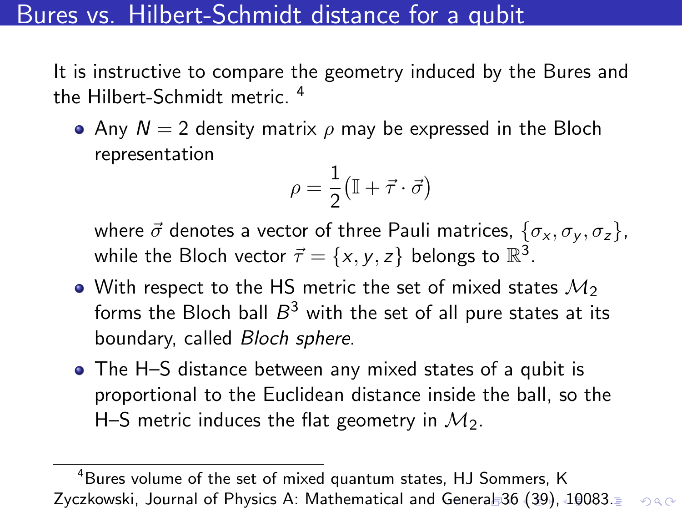# <span id="page-14-0"></span>Bures vs. Hilbert-Schmidt distance for a qubit

It is instructive to compare the geometry induced by the Bures and the Hilbert-Schmidt metric. <sup>4</sup>

• Any  $N = 2$  density matrix  $\rho$  may be expressed in the Bloch representation

$$
\rho = \frac{1}{2} \big( \mathbb{I} + \vec{\tau} \cdot \vec{\sigma} \big)
$$

where  $\vec{\sigma}$  denotes a vector of three Pauli matrices,  $\{\sigma_x, \sigma_y, \sigma_z\}$ , while the Bloch vector  $\vec{\tau} = \{x, y, z\}$  belongs to  $\mathbb{R}^3$ .

- With respect to the HS metric the set of mixed states  $\mathcal{M}_2$ forms the Bloch ball  $B^3$  with the set of all pure states at its boundary, called Bloch sphere.
- The H–S distance between any mixed states of a qubit is proportional to the Euclidean distance inside the ball, so the H–S metric induces the flat geometry in  $M_2$ .

<sup>&</sup>lt;sup>4</sup>Bures volume of the set of mixed quantum states, HJ Sommers, K Zyczkowski, Journal of Physics A: Mathematical and [G](#page-13-0)e[ne](#page-15-0)[ra](#page-13-0)[l 3](#page-14-0)[6](#page-15-0) [\(3](#page-0-0)[9\),](#page-22-0) [1](#page-0-0)[008](#page-22-0)[3.](#page-0-0) $\geq$  $2990$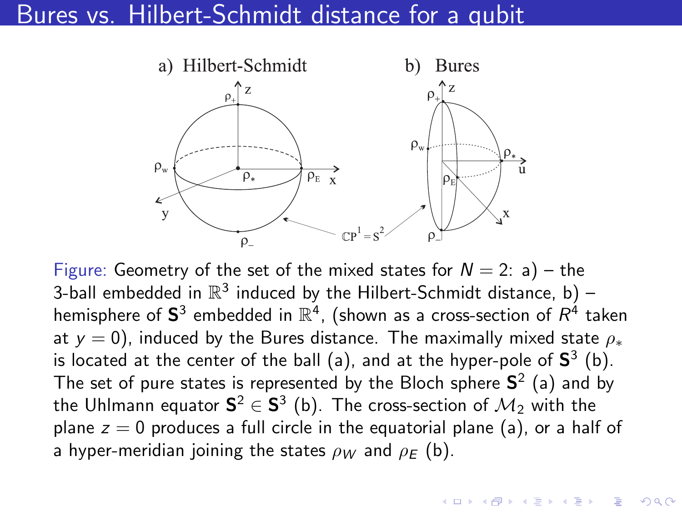### <span id="page-15-0"></span>Bures vs. Hilbert-Schmidt distance for a qubit



Figure: Geometry of the set of the mixed states for  $N = 2$ : a) – the 3-ball embedded in  $\mathbb{R}^3$  induced by the Hilbert-Schmidt distance, b) – hemisphere of  ${\bf S}^3$  embedded in  $\mathbb{R}^4$ , (shown as a cross-section of  $R^4$  taken at  $y = 0$ ), induced by the Bures distance. The maximally mixed state  $\rho_*$ is located at the center of the ball (a), and at the hyper-pole of  $S^3$  (b). The set of pure states is represented by the Bloch sphere  $S^2$  (a) and by the Uhlmann equator  ${\sf S}^2\in{\sf S}^3$  (b). The cross-section of  ${\cal M}_2$  with the plane  $z = 0$  produces a full circle in the equatorial plane (a), or a half of a hyper-meridian joining the states  $\rho_W$  and  $\rho_E$  (b).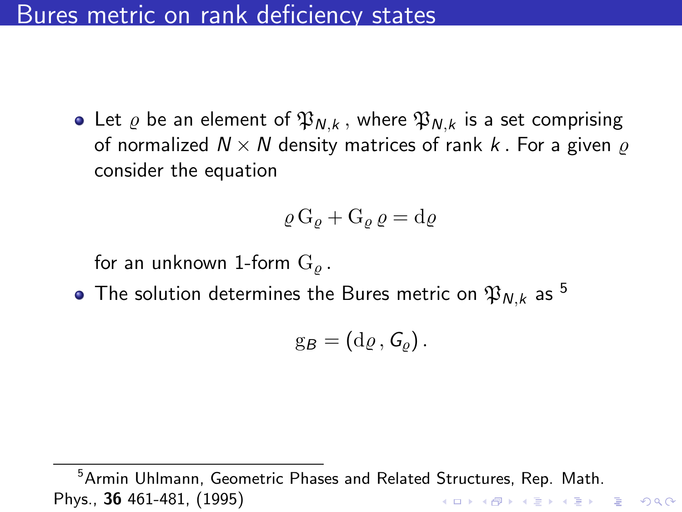### Bures metric on rank deficiency states

• Let  $\varrho$  be an element of  $\mathfrak{P}_{N,k}$ , where  $\mathfrak{P}_{N,k}$  is a set comprising of normalized  $N \times N$  density matrices of rank k. For a given  $\rho$ consider the equation

$$
\varrho\,\mathrm{G}_\varrho + \mathrm{G}_\varrho\,\varrho = \mathrm{d}\varrho
$$

for an unknown 1-form  $G_{\rho}$ .

 $\bullet$  The solution determines the Bures metric on  $\mathfrak{P}_{N,k}$  as  $^5$ 

$$
g_B=(d\varrho, G_{\varrho}).
$$

<sup>5</sup>Armin Uhlmann, Geometric Phases and Related Structures, Rep. Math. Phys., 36 461-481, (1995)K ロ X K 레 X K 할 X K 할 X 및 할 X 이익(N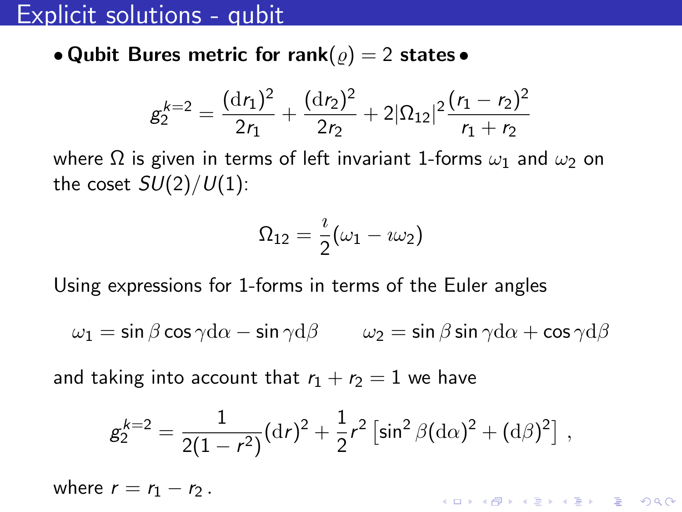### Explicit solutions - qubit

• Qubit Bures metric for rank( $\rho$ ) = 2 states •

$$
g_2^{k=2} = \frac{(\mathrm{d}r_1)^2}{2r_1} + \frac{(\mathrm{d}r_2)^2}{2r_2} + 2|\Omega_{12}|^2 \frac{(r_1 - r_2)^2}{r_1 + r_2}
$$

where  $\Omega$  is given in terms of left invariant 1-forms  $\omega_1$  and  $\omega_2$  on the coset  $SU(2)/U(1)$ :

$$
\Omega_{12}=\frac{\imath}{2}(\omega_1-\imath\omega_2)
$$

Using expressions for 1-forms in terms of the Euler angles

$$
\omega_1=\sin\beta\cos\gamma\mathrm{d}\alpha-\sin\gamma\mathrm{d}\beta\qquad \omega_2=\sin\beta\sin\gamma\mathrm{d}\alpha+\cos\gamma\mathrm{d}\beta
$$

and taking into account that  $r_1 + r_2 = 1$  we have

$$
g_2^{k=2} = \frac{1}{2(1-r^2)} (\mathrm{d}r)^2 + \frac{1}{2}r^2 \left[ \sin^2 \beta (\mathrm{d}\alpha)^2 + (\mathrm{d}\beta)^2 \right] ,
$$

KID KØD KED KED E 1990

where  $r = r_1 - r_2$ .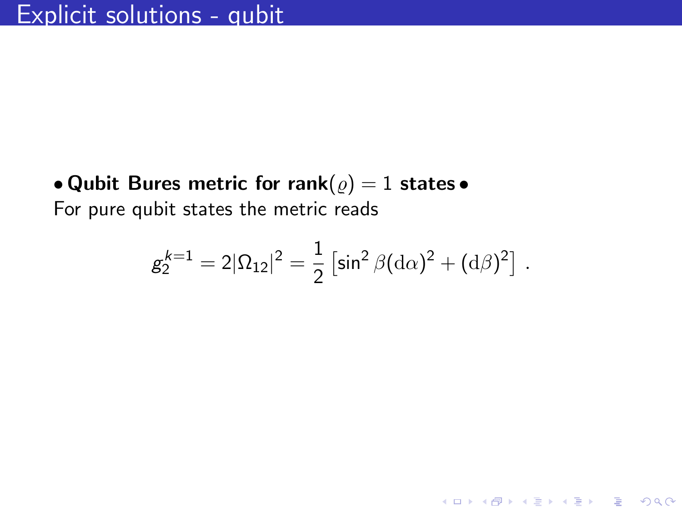• Qubit Bures metric for rank $(\varrho) = 1$  states • For pure qubit states the metric reads

$$
g_2^{k=1} = 2|\Omega_{12}|^2 = \frac{1}{2} \left[ \sin^2 \beta (\mathrm{d}\alpha)^2 + (\mathrm{d}\beta)^2 \right]
$$

.

KO K K Ø K K E K K E K V K K K K K K K K K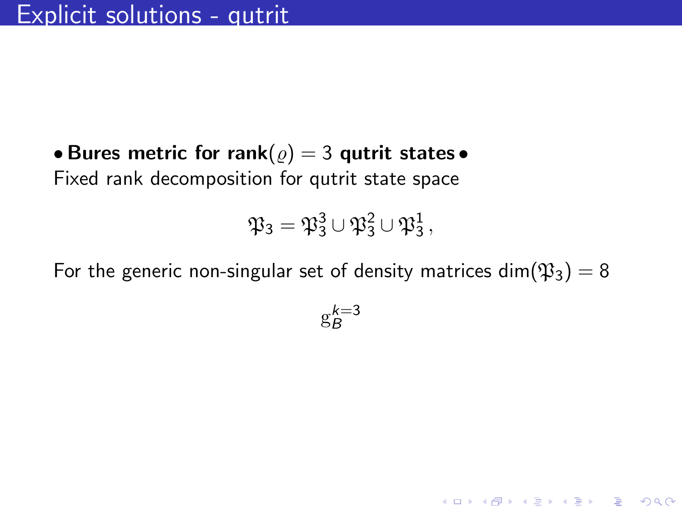• Bures metric for rank( $\rho$ ) = 3 qutrit states • Fixed rank decomposition for qutrit state space

$$
\mathfrak{P}_3 = \mathfrak{P}_3^3 \cup \mathfrak{P}_3^2 \cup \mathfrak{P}_3^1\,,
$$

For the generic non-singular set of density matrices dim $(\mathfrak{P}_3) = 8$ 

$$
\mathbf{g}_{B}^{k=3}
$$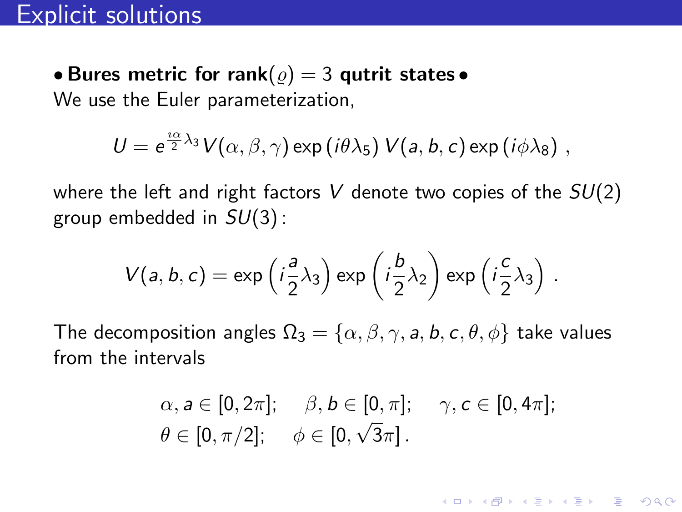• Bures metric for rank( $\rho$ ) = 3 qutrit states • We use the Euler parameterization,

$$
U = e^{\frac{i\alpha}{2}\lambda_3}V(\alpha,\beta,\gamma) \exp(i\theta\lambda_5) V(a,b,c) \exp(i\phi\lambda_8) ,
$$

where the left and right factors V denote two copies of the  $SU(2)$ group embedded in  $SU(3)$ :

$$
V(a, b, c) = \exp\left(i\frac{a}{2}\lambda_3\right) \exp\left(i\frac{b}{2}\lambda_2\right) \exp\left(i\frac{c}{2}\lambda_3\right).
$$

The decomposition angles  $\Omega_3 = {\alpha, \beta, \gamma, a, b, c, \theta, \phi}$  take values from the intervals

$$
\alpha, a \in [0, 2\pi]; \quad \beta, b \in [0, \pi]; \quad \gamma, c \in [0, 4\pi];
$$
  

$$
\theta \in [0, \pi/2]; \quad \phi \in [0, \sqrt{3}\pi].
$$

KELK KØLK VELKEN EL 1990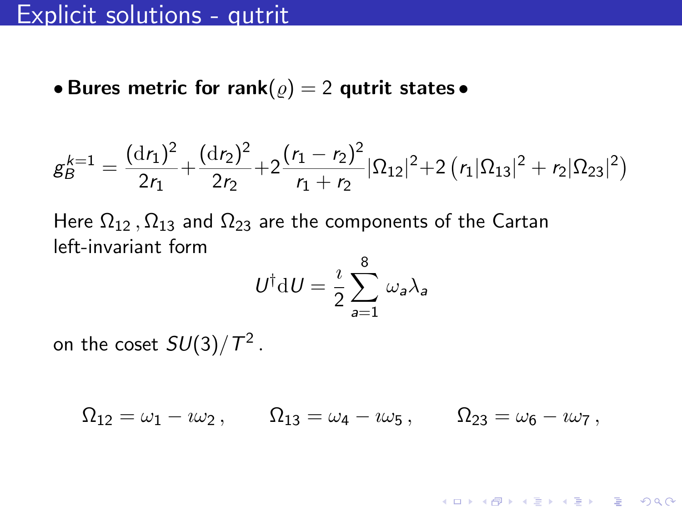• Bures metric for rank $(\varrho) = 2$  qutrit states •

$$
g_B^{k=1} = \frac{(\mathrm{d}r_1)^2}{2r_1} + \frac{(\mathrm{d}r_2)^2}{2r_2} + 2\frac{(r_1 - r_2)^2}{r_1 + r_2} |\Omega_{12}|^2 + 2(r_1 |\Omega_{13}|^2 + r_2 |\Omega_{23}|^2)
$$

Here  $\Omega_{12}$ ,  $\Omega_{13}$  and  $\Omega_{23}$  are the components of the Cartan left-invariant form

$$
U^{\dagger} \mathrm{d} U = \frac{\imath}{2} \sum_{a=1}^{8} \omega_a \lambda_a
$$

on the coset  $SU(3)/\mathcal{T}^2$  .

 $\Omega_{12} = \omega_1 - i \omega_2$ ,  $\Omega_{13} = \omega_4 - i \omega_5$ ,  $\Omega_{23} = \omega_6 - i \omega_7$ ,

**KORKARYKERKER POLO**